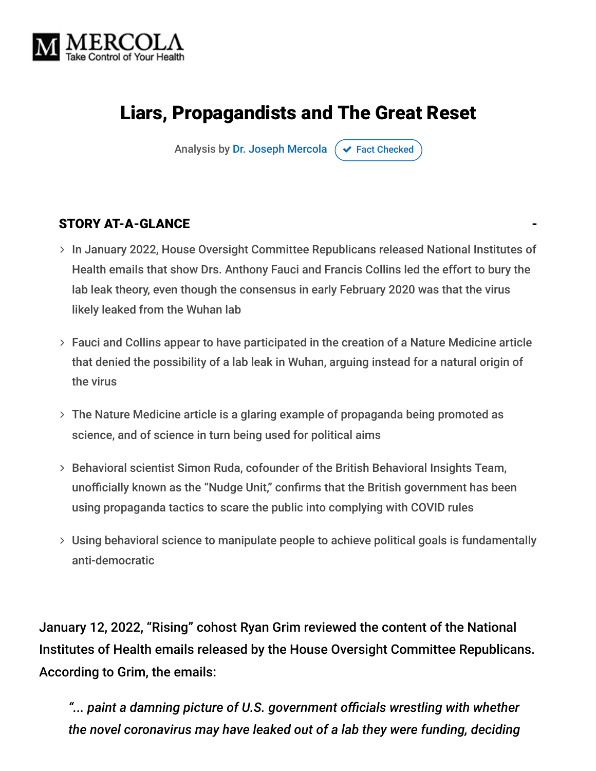

# Liars, Propagandists and The Great Reset

Analysis by [Dr. Joseph Mercola](https://www.mercola.com/forms/background.htm)  $\sigma$  [Fact Checked](javascript:void(0))

#### STORY AT-A-GLANCE

- > In January 2022, House Oversight Committee Republicans released National Institutes of Health emails that show Drs. Anthony Fauci and Francis Collins led the effort to bury the lab leak theory, even though the consensus in early February 2020 was that the virus likely leaked from the Wuhan lab
- Fauci and Collins appear to have participated in the creation of a Nature Medicine article that denied the possibility of a lab leak in Wuhan, arguing instead for a natural origin of the virus
- The Nature Medicine article is a glaring example of propaganda being promoted as science, and of science in turn being used for political aims
- $>$  Behavioral scientist Simon Ruda, cofounder of the British Behavioral Insights Team, unofficially known as the "Nudge Unit," confirms that the British government has been using propaganda tactics to scare the public into complying with COVID rules
- Using behavioral science to manipulate people to achieve political goals is fundamentally anti-democratic

January 12, 2022, "Rising" cohost Ryan Grim reviewed the content of the National Institutes of Health emails released by the House Oversight Committee Republicans. According to Grim, the emails:

*"... paint a damning picture of U.S. government officials wrestling with whether the novel coronavirus may have leaked out of a lab they were funding, deciding*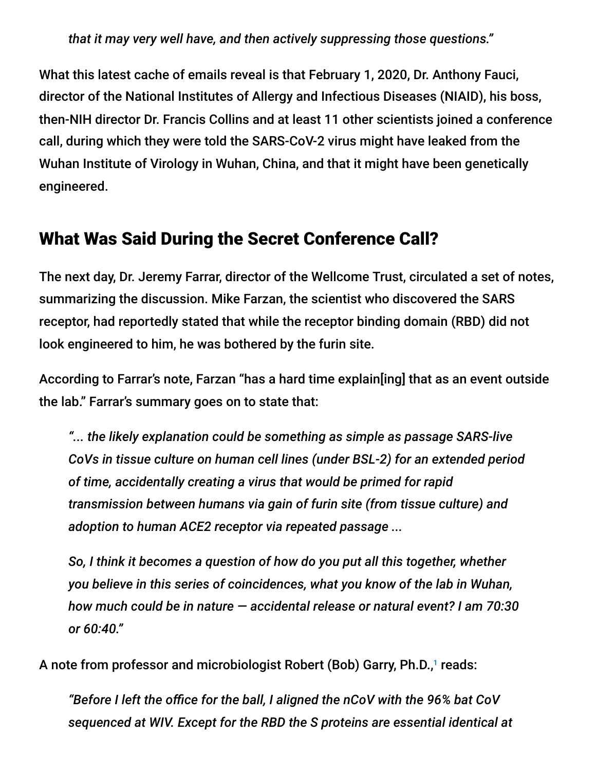*that it may very well have, and then actively suppressing those questions."*

What this latest cache of emails reveal is that February 1, 2020, Dr. Anthony Fauci, director of the National Institutes of Allergy and Infectious Diseases (NIAID), his boss, then-NIH director Dr. Francis Collins and at least 11 other scientists joined a conference call, during which they were told the SARS-CoV-2 virus might have leaked from the Wuhan Institute of Virology in Wuhan, China, and that it might have been genetically engineered.

#### What Was Said During the Secret Conference Call?

The next day, Dr. Jeremy Farrar, director of the Wellcome Trust, circulated a set of notes, summarizing the discussion. Mike Farzan, the scientist who discovered the SARS receptor, had reportedly stated that while the receptor binding domain (RBD) did not look engineered to him, he was bothered by the furin site.

According to Farrar's note, Farzan "has a hard time explain[ing] that as an event outside the lab." Farrar's summary goes on to state that:

*"... the likely explanation could be something as simple as passage SARS-live CoVs in tissue culture on human cell lines (under BSL-2) for an extended period of time, accidentally creating a virus that would be primed for rapid transmission between humans via gain of furin site (from tissue culture) and adoption to human ACE2 receptor via repeated passage ...*

*So, I think it becomes a question of how do you put all this together, whether you believe in this series of coincidences, what you know of the lab in Wuhan, how much could be in nature — accidental release or natural event? I am 70:30 or 60:40."*

A note from professor and microbiologist Robert (Bob) Garry, Ph.D.,1 reads:

*"Before I left the office for the ball, I aligned the nCoV with the 96% bat CoV sequenced at WIV. Except for the RBD the S proteins are essential identical at*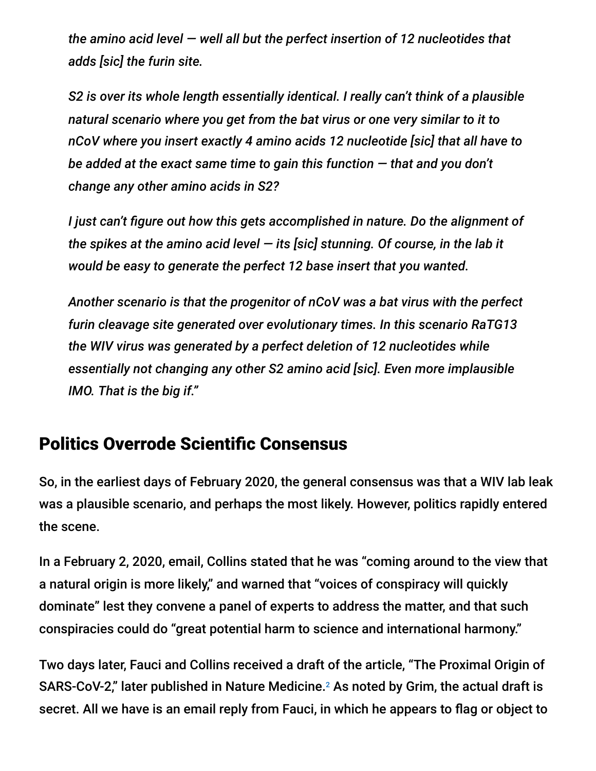*the amino acid level — well all but the perfect insertion of 12 nucleotides that adds [sic] the furin site.*

*S2 is over its whole length essentially identical. I really can't think of a plausible natural scenario where you get from the bat virus or one very similar to it to nCoV where you insert exactly 4 amino acids 12 nucleotide [sic] that all have to be added at the exact same time to gain this function — that and you don't change any other amino acids in S2?*

*I just can't figure out how this gets accomplished in nature. Do the alignment of the spikes at the amino acid level — its [sic] stunning. Of course, in the lab it would be easy to generate the perfect 12 base insert that you wanted.*

*Another scenario is that the progenitor of nCoV was a bat virus with the perfect furin cleavage site generated over evolutionary times. In this scenario RaTG13 the WIV virus was generated by a perfect deletion of 12 nucleotides while essentially not changing any other S2 amino acid [sic]. Even more implausible IMO. That is the big if."*

### Politics Overrode Scientific Consensus

So, in the earliest days of February 2020, the general consensus was that a WIV lab leak was a plausible scenario, and perhaps the most likely. However, politics rapidly entered the scene.

In a February 2, 2020, email, Collins stated that he was "coming around to the view that a natural origin is more likely," and warned that "voices of conspiracy will quickly dominate" lest they convene a panel of experts to address the matter, and that such conspiracies could do "great potential harm to science and international harmony."

Two days later, Fauci and Collins received a draft of the article, "The Proximal Origin of SARS-CoV-2," later published in Nature Medicine.<sup>2</sup> As noted by Grim, the actual draft is secret. All we have is an email reply from Fauci, in which he appears to flag or object to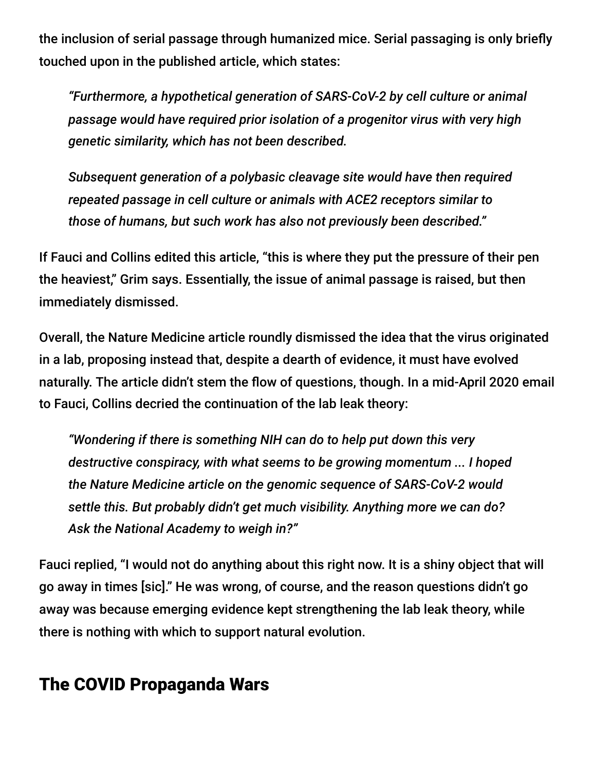the inclusion of serial passage through humanized mice. Serial passaging is only briefly touched upon in the published article, which states:

*"Furthermore, a hypothetical generation of SARS-CoV-2 by cell culture or animal passage would have required prior isolation of a progenitor virus with very high genetic similarity, which has not been described.*

*Subsequent generation of a polybasic cleavage site would have then required repeated passage in cell culture or animals with ACE2 receptors similar to those of humans, but such work has also not previously been described."*

If Fauci and Collins edited this article, "this is where they put the pressure of their pen the heaviest," Grim says. Essentially, the issue of animal passage is raised, but then immediately dismissed.

Overall, the Nature Medicine article roundly dismissed the idea that the virus originated in a lab, proposing instead that, despite a dearth of evidence, it must have evolved naturally. The article didn't stem the flow of questions, though. In a mid-April 2020 email to Fauci, Collins decried the continuation of the lab leak theory:

*"Wondering if there is something NIH can do to help put down this very destructive conspiracy, with what seems to be growing momentum ... I hoped the Nature Medicine article on the genomic sequence of SARS-CoV-2 would settle this. But probably didn't get much visibility. Anything more we can do? Ask the National Academy to weigh in?"*

Fauci replied, "I would not do anything about this right now. It is a shiny object that will go away in times [sic]." He was wrong, of course, and the reason questions didn't go away was because emerging evidence kept strengthening the lab leak theory, while there is nothing with which to support natural evolution.

## The COVID Propaganda Wars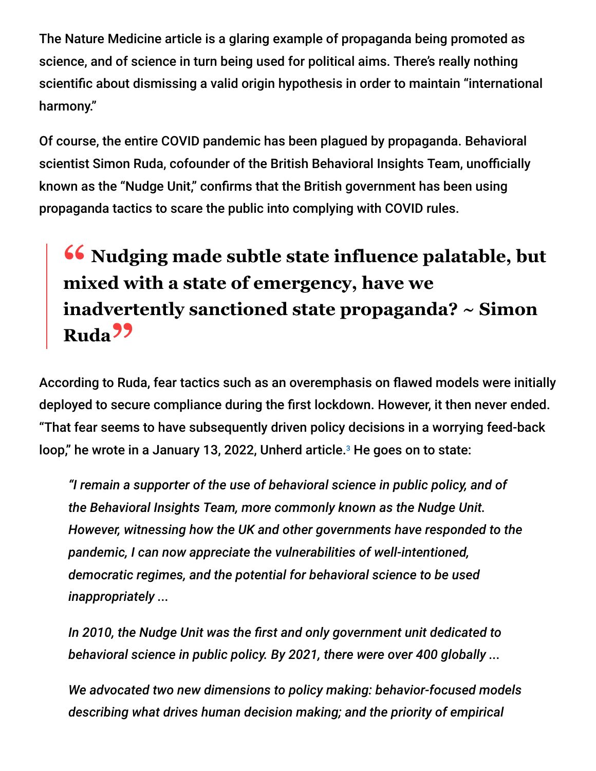The Nature Medicine article is a glaring example of propaganda being promoted as science, and of science in turn being used for political aims. There's really nothing scientific about dismissing a valid origin hypothesis in order to maintain "international harmony."

Of course, the entire COVID pandemic has been plagued by propaganda. Behavioral scientist Simon Ruda, cofounder of the British Behavioral Insights Team, unofficially known as the "Nudge Unit," confirms that the British government has been using propaganda tactics to scare the public into complying with COVID rules.

# **<sup>66</sup>** Nudging made subtle state influence palatable, but mixed with a state of emergency have we **mixed with a state of emergency, have we inadvertently sanctioned state propaganda? ~ Simon Ruda"**

According to Ruda, fear tactics such as an overemphasis on flawed models were initially deployed to secure compliance during the first lockdown. However, it then never ended. "That fear seems to have subsequently driven policy decisions in a worrying feed-back loop," he wrote in a January 13, 2022, Unherd article.<sup>3</sup> He goes on to state:

*"I remain a supporter of the use of behavioral science in public policy, and of the Behavioral Insights Team, more commonly known as the Nudge Unit. However, witnessing how the UK and other governments have responded to the pandemic, I can now appreciate the vulnerabilities of well-intentioned, democratic regimes, and the potential for behavioral science to be used inappropriately ...*

*In 2010, the Nudge Unit was the first and only government unit dedicated to behavioral science in public policy. By 2021, there were over 400 globally ...*

*We advocated two new dimensions to policy making: behavior-focused models describing what drives human decision making; and the priority of empirical*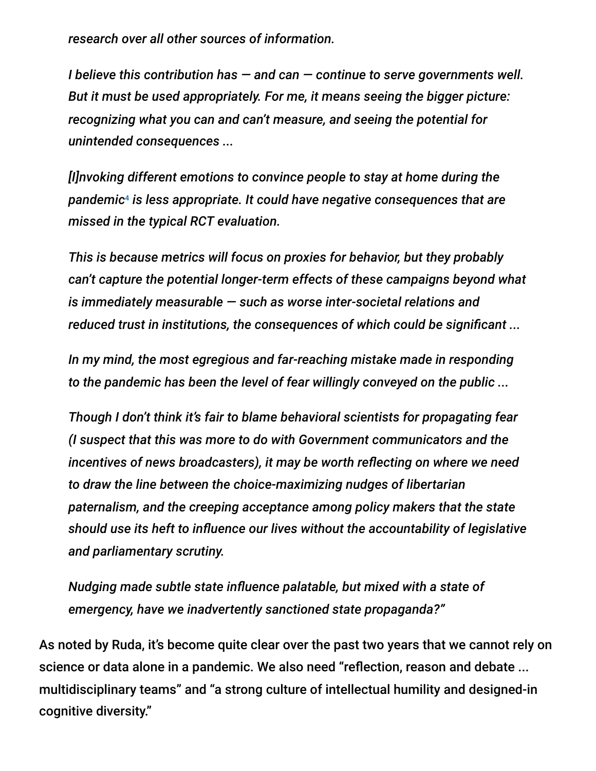*research over all other sources of information.*

*I believe this contribution has — and can — continue to serve governments well. But it must be used appropriately. For me, it means seeing the bigger picture: recognizing what you can and can't measure, and seeing the potential for unintended consequences ...*

*[I]nvoking different emotions to convince people to stay at home during the pandemic is less appropriate. It could have negative consequences that are* 4*missed in the typical RCT evaluation.*

*This is because metrics will focus on proxies for behavior, but they probably can't capture the potential longer-term effects of these campaigns beyond what is immediately measurable — such as worse inter-societal relations and reduced trust in institutions, the consequences of which could be significant ...*

*In my mind, the most egregious and far-reaching mistake made in responding to the pandemic has been the level of fear willingly conveyed on the public ...*

*Though I don't think it's fair to blame behavioral scientists for propagating fear (I suspect that this was more to do with Government communicators and the incentives of news broadcasters), it may be worth reflecting on where we need to draw the line between the choice-maximizing nudges of libertarian paternalism, and the creeping acceptance among policy makers that the state should use its heft to influence our lives without the accountability of legislative and parliamentary scrutiny.*

*Nudging made subtle state influence palatable, but mixed with a state of emergency, have we inadvertently sanctioned state propaganda?"*

As noted by Ruda, it's become quite clear over the past two years that we cannot rely on science or data alone in a pandemic. We also need "reflection, reason and debate ... multidisciplinary teams" and "a strong culture of intellectual humility and designed-in cognitive diversity."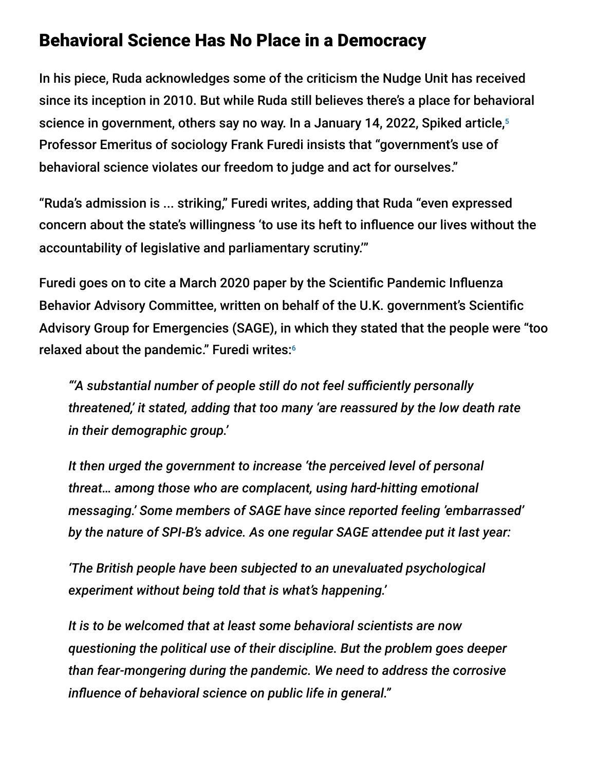### Behavioral Science Has No Place in a Democracy

In his piece, Ruda acknowledges some of the criticism the Nudge Unit has received since its inception in 2010. But while Ruda still believes there's a place for behavioral science in government, others say no way. In a January 14, 2022, Spiked article, 5 Professor Emeritus of sociology Frank Furedi insists that "government's use of behavioral science violates our freedom to judge and act for ourselves."

"Ruda's admission is ... striking," Furedi writes, adding that Ruda "even expressed concern about the state's willingness 'to use its heft to influence our lives without the accountability of legislative and parliamentary scrutiny.'"

Furedi goes on to cite a March 2020 paper by the Scientific Pandemic Influenza Behavior Advisory Committee, written on behalf of the U.K. government's Scientific Advisory Group for Emergencies (SAGE), in which they stated that the people were "too relaxed about the pandemic." Furedi writes: 6

*"'A substantial number of people still do not feel sufficiently personally threatened,' it stated, adding that too many 'are reassured by the low death rate in their demographic group.'*

*It then urged the government to increase 'the perceived level of personal threat… among those who are complacent, using hard-hitting emotional messaging.' Some members of SAGE have since reported feeling 'embarrassed' by the nature of SPI-B's advice. As one regular SAGE attendee put it last year:*

*'The British people have been subjected to an unevaluated psychological experiment without being told that is what's happening.'*

*It is to be welcomed that at least some behavioral scientists are now questioning the political use of their discipline. But the problem goes deeper than fear-mongering during the pandemic. We need to address the corrosive influence of behavioral science on public life in general."*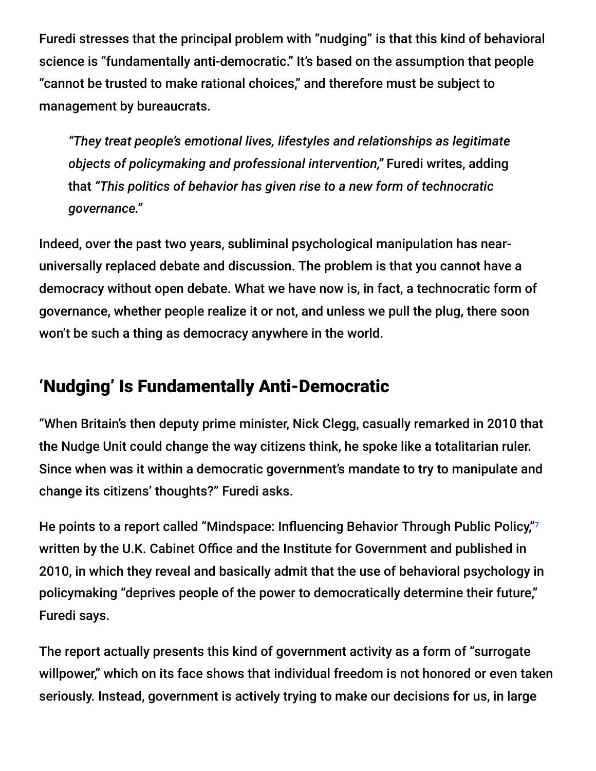Furedi stresses that the principal problem with "nudging" is that this kind of behavioral science is "fundamentally anti-democratic." It's based on the assumption that people "cannot be trusted to make rational choices," and therefore must be subject to management by bureaucrats.

*"They treat people's emotional lives, lifestyles and relationships as legitimate objects of policymaking and professional intervention,"* Furedi writes, adding that *"This politics of behavior has given rise to a new form of technocratic governance."*

Indeed, over the past two years, subliminal psychological manipulation has nearuniversally replaced debate and discussion. The problem is that you cannot have a democracy without open debate. What we have now is, in fact, a technocratic form of governance, whether people realize it or not, and unless we pull the plug, there soon won't be such a thing as democracy anywhere in the world.

# 'Nudging' Is Fundamentally Anti-Democratic

"When Britain's then deputy prime minister, Nick Clegg, casually remarked in 2010 that the Nudge Unit could change the way citizens think, he spoke like a totalitarian ruler. Since when was it within a democratic government's mandate to try to manipulate and change its citizens' thoughts?" Furedi asks.

He points to a report called "Mindspace: Influencing Behavior Through Public Policy,"7 written by the U.K. Cabinet Office and the Institute for Government and published in 2010, in which they reveal and basically admit that the use of behavioral psychology in policymaking "deprives people of the power to democratically determine their future," Furedi says.

The report actually presents this kind of government activity as a form of "surrogate willpower," which on its face shows that individual freedom is not honored or even taken seriously. Instead, government is actively trying to make our decisions for us, in large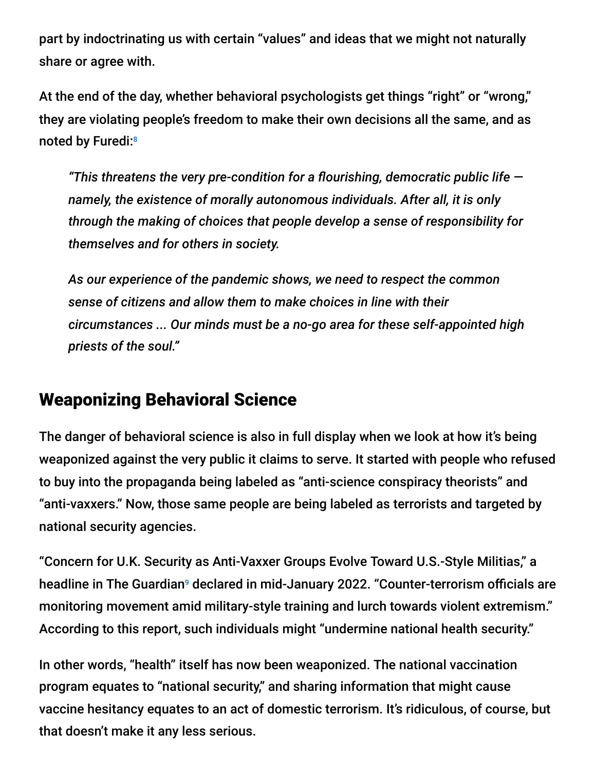part by indoctrinating us with certain "values" and ideas that we might not naturally share or agree with.

At the end of the day, whether behavioral psychologists get things "right" or "wrong," they are violating people's freedom to make their own decisions all the same, and as noted by Furedi:<sup>8</sup>

*"This threatens the very pre-condition for a flourishing, democratic public life namely, the existence of morally autonomous individuals. After all, it is only through the making of choices that people develop a sense of responsibility for themselves and for others in society.*

*As our experience of the pandemic shows, we need to respect the common sense of citizens and allow them to make choices in line with their circumstances ... Our minds must be a no-go area for these self-appointed high priests of the soul."*

### Weaponizing Behavioral Science

The danger of behavioral science is also in full display when we look at how it's being weaponized against the very public it claims to serve. It started with people who refused to buy into the propaganda being labeled as "anti-science conspiracy theorists" and "anti-vaxxers." Now, those same people are being labeled as terrorists and targeted by national security agencies.

"Concern for U.K. Security as Anti-Vaxxer Groups Evolve Toward U.S.-Style Militias," a headline in The Guardian<sup>9</sup> declared in mid-January 2022. "Counter-terrorism officials are monitoring movement amid military-style training and lurch towards violent extremism." According to this report, such individuals might "undermine national health security."

In other words, "health" itself has now been weaponized. The national vaccination program equates to "national security," and sharing information that might cause vaccine hesitancy equates to an act of domestic terrorism. It's ridiculous, of course, but that doesn't make it any less serious.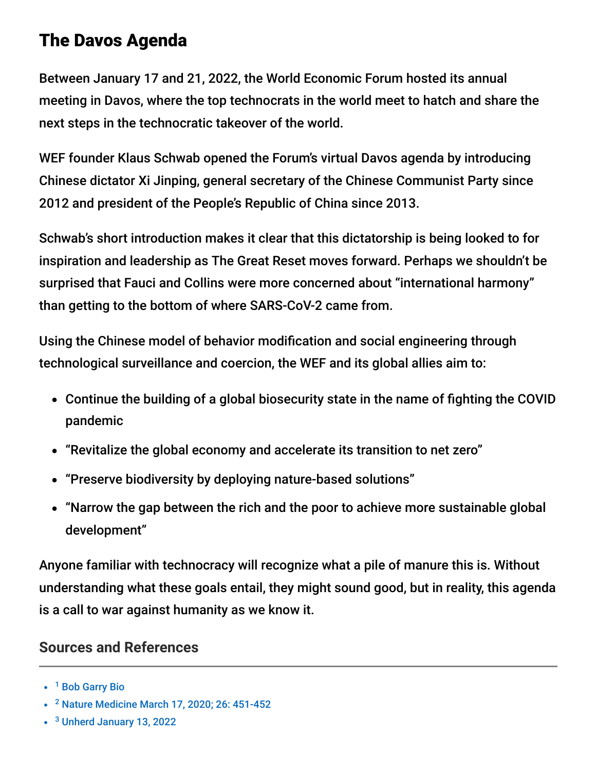## The Davos Agenda

Between January 17 and 21, 2022, the World Economic Forum hosted its annual meeting in Davos, where the top technocrats in the world meet to hatch and share the next steps in the technocratic takeover of the world.

WEF founder Klaus Schwab opened the Forum's virtual Davos agenda by introducing Chinese dictator Xi Jinping, general secretary of the Chinese Communist Party since 2012 and president of the People's Republic of China since 2013.

Schwab's short introduction makes it clear that this dictatorship is being looked to for inspiration and leadership as The Great Reset moves forward. Perhaps we shouldn't be surprised that Fauci and Collins were more concerned about "international harmony" than getting to the bottom of where SARS-CoV-2 came from.

Using the Chinese model of behavior modification and social engineering through technological surveillance and coercion, the WEF and its global allies aim to:

- Continue the building of a global biosecurity state in the name of fighting the COVID pandemic
- "Revitalize the global economy and accelerate its transition to net zero"
- "Preserve biodiversity by deploying nature-based solutions"
- "Narrow the gap between the rich and the poor to achieve more sustainable global development"

Anyone familiar with technocracy will recognize what a pile of manure this is. Without understanding what these goals entail, they might sound good, but in reality, this agenda is a call to war against humanity as we know it.

#### **Sources and References**

<sup>3</sup> [Unherd January 13, 2022](https://unherd.com/2022/01/how-the-government-abused-nudge-theory/)

<sup>&</sup>lt;sup>1</sup> [Bob Garry Bio](https://medicine.tulane.edu/departments/microbiology-immunology-tulane-cancer-center-tips-advisory-committee-tips-mentor/faculty)

<sup>&</sup>lt;sup>2</sup> [Nature Medicine March 17, 2020; 26: 451-452](https://www.nature.com/articles/s41591-020-0820-9)